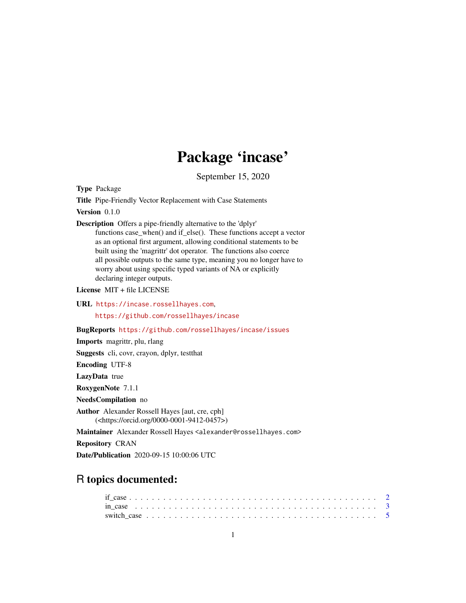## Package 'incase'

September 15, 2020

<span id="page-0-0"></span>Type Package

Title Pipe-Friendly Vector Replacement with Case Statements

Version 0.1.0

Description Offers a pipe-friendly alternative to the 'dplyr'

functions case\_when() and if\_else(). These functions accept a vector as an optional first argument, allowing conditional statements to be built using the 'magrittr' dot operator. The functions also coerce all possible outputs to the same type, meaning you no longer have to worry about using specific typed variants of NA or explicitly declaring integer outputs.

License MIT + file LICENSE

URL <https://incase.rossellhayes.com>,

<https://github.com/rossellhayes/incase>

BugReports <https://github.com/rossellhayes/incase/issues>

Imports magrittr, plu, rlang

Suggests cli, covr, crayon, dplyr, testthat

Encoding UTF-8

LazyData true

RoxygenNote 7.1.1

NeedsCompilation no

Author Alexander Rossell Hayes [aut, cre, cph] (<https://orcid.org/0000-0001-9412-0457>)

Maintainer Alexander Rossell Hayes <alexander@rossellhayes.com>

Repository CRAN

Date/Publication 2020-09-15 10:00:06 UTC

### R topics documented: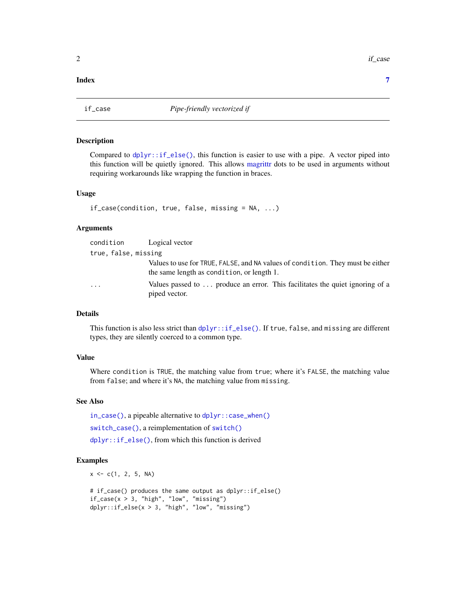#### <span id="page-1-0"></span>**Index** [7](#page-6-0) **7**

<span id="page-1-1"></span>

#### Description

Compared to  $dplyr:$ : $if\_else()$ , this function is easier to use with a pipe. A vector piped into this function will be quietly ignored. This allows [magrittr](#page-0-0) dots to be used in arguments without requiring workarounds like wrapping the function in braces.

#### Usage

```
if_case(condition, true, false, missing = NA, ...)
```
#### Arguments

| condition            | Logical vector                                                                                                               |
|----------------------|------------------------------------------------------------------------------------------------------------------------------|
| true, false, missing |                                                                                                                              |
|                      | Values to use for TRUE, FALSE, and NA values of condition. They must be either<br>the same length as condition, or length 1. |
| $\cdots$             | Values passed to $\dots$ produce an error. This facilitates the quiet ignoring of a<br>piped vector.                         |

#### Details

This function is also less strict than [dplyr::if\\_else\(\)](#page-0-0). If true, false, and missing are different types, they are silently coerced to a common type.

#### Value

Where condition is TRUE, the matching value from true; where it's FALSE, the matching value from false; and where it's NA, the matching value from missing.

#### See Also

[in\\_case\(\)](#page-2-1), a pipeable alternative to [dplyr::case\\_when\(\)](#page-0-0) [switch\\_case\(\)](#page-4-1), a reimplementation of [switch\(\)](#page-0-0) [dplyr::if\\_else\(\)](#page-0-0), from which this function is derived

#### Examples

 $x \leq -c(1, 2, 5, NA)$ 

```
# if_case() produces the same output as dplyr::if_else()
if_case(x > 3, "high", "low", "missing")
dplyr::if_else(x > 3, "high", "low", "missing")
```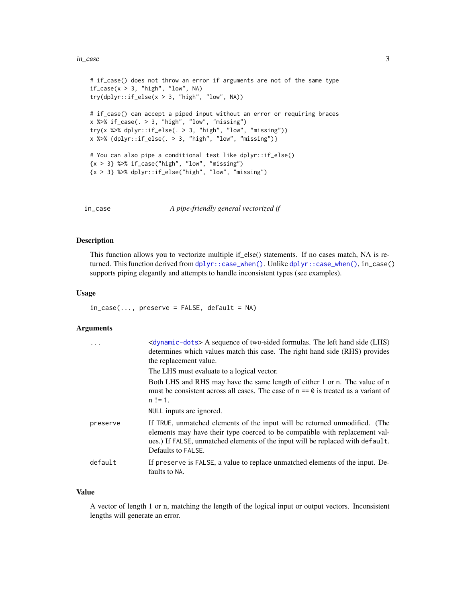#### <span id="page-2-0"></span>in\_case 3

```
# if_case() does not throw an error if arguments are not of the same type
if\_case(x > 3, "high", "low", NA)try(dplyr::if\_else(x > 3, "high", "low", NA))# if_case() can accept a piped input without an error or requiring braces
x %>% if_case(. > 3, "high", "low", "missing")
try(x %>% dplyr::if_else(. > 3, "high", "low", "missing"))
x %>% {dplyr::if_else(. > 3, "high", "low", "missing")}
# You can also pipe a conditional test like dplyr::if_else()
\{x > 3\} %\ge% if_case("high", "low", "missing")
\{x > 3\} %\gg dplyr::if_else("high", "low", "missing")
```
<span id="page-2-1"></span>

in\_case *A pipe-friendly general vectorized if*

#### Description

This function allows you to vectorize multiple if\_else() statements. If no cases match, NA is returned. This function derived from [dplyr::case\\_when\(\)](#page-0-0). Unlike dplyr::case\_when(), in\_case() supports piping elegantly and attempts to handle inconsistent types (see examples).

#### Usage

 $in\_case(...,$  preserve = FALSE, default = NA)

#### Arguments

| $\ddots$ . | <dynamic-dots> A sequence of two-sided formulas. The left hand side (LHS)<br/>determines which values match this case. The right hand side (RHS) provides<br/>the replacement value.</dynamic-dots>                                                               |
|------------|-------------------------------------------------------------------------------------------------------------------------------------------------------------------------------------------------------------------------------------------------------------------|
|            | The LHS must evaluate to a logical vector.                                                                                                                                                                                                                        |
|            | Both LHS and RHS may have the same length of either 1 or n. The value of n<br>must be consistent across all cases. The case of $n == 0$ is treated as a variant of<br>$n := 1$ .                                                                                  |
|            | NULL inputs are ignored.                                                                                                                                                                                                                                          |
| preserve   | If TRUE, unmatched elements of the input will be returned unmodified. (The<br>elements may have their type coerced to be compatible with replacement val-<br>ues.) If FALSE, unmatched elements of the input will be replaced with default.<br>Defaults to FALSE. |
| default    | If preserve is FALSE, a value to replace unmatched elements of the input. De-<br>faults to NA.                                                                                                                                                                    |

#### Value

A vector of length 1 or n, matching the length of the logical input or output vectors. Inconsistent lengths will generate an error.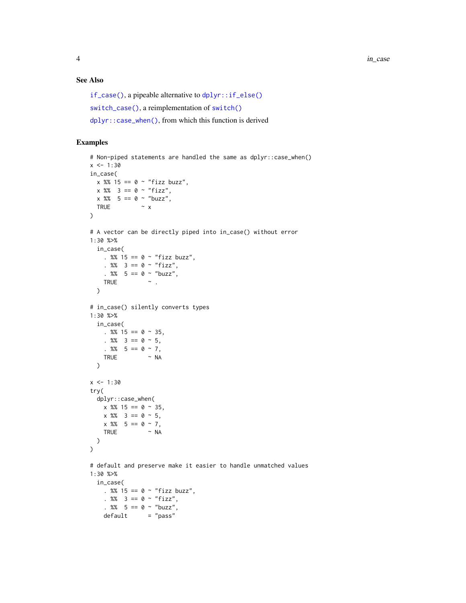#### <span id="page-3-0"></span>See Also

```
if_case(), a pipeable alternative to dplyr::if_else()
switch_case(), a reimplementation of switch()
dplyr::case_when(), from which this function is derived
```
#### Examples

```
# Non-piped statements are handled the same as dplyr::case_when()
x < -1:30in_case(
x %% 15 == 0 ~ "fizz buzz",
 x \frac{8}{3} = 0 ~ "fizz",
 x \, 8\% = 5 == 0 \sim "buzz",TRUE \sim x\lambda# A vector can be directly piped into in_case() without error
1:30 %>%
  in_case(
    . %% 15 == 0 \sim "fizz buzz",
    . %% 3 == 0 ~ "fix,". % 5 == 0 ~ "buzz",
    TRUE \sim .
  \lambda# in_case() silently converts types
1:30 %>%
  in_case(
    . %% 15 == 0 \sim 35,
    . %% 3 == 0 ~ 5,
    . %% 5 == 0 ~ 7,
    TRUE ~ NA
  \lambdax < -1:30try(
  dplyr::case_when(
   x \frac{8}{3} 15 == 0 ~ 35,
   x %83 = 0 ~ 5,x %865 == 0 ~ 7,TRUE ~ NA
  )
\mathcal{L}# default and preserve make it easier to handle unmatched values
1:30 %>%
  in_case(
    . %% 15 == 0 \sim "fizz buzz",
    . %% 3 == 0 ~ "fizz",. %% 5 == 0 ~ "buzz",
    default = "pass"
```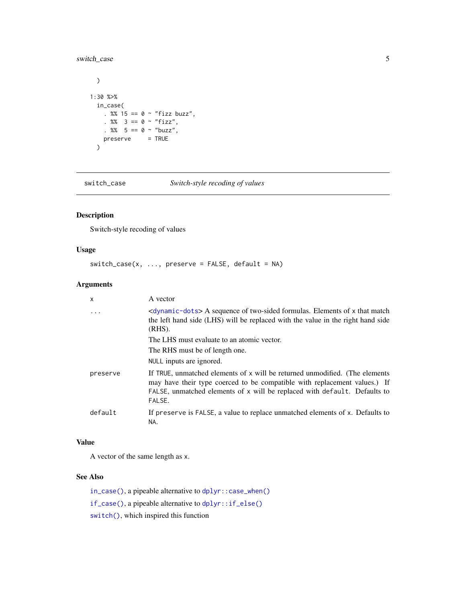#### <span id="page-4-0"></span>switch\_case 5

```
\overline{)}1:30 %>%
 in_case(
    . %% 15 == 0 \sim "fizz buzz",
    . %% 3 == 0 ~ "fix",. %% 5 == 0 ~ "buzz",
    preserve = TRUE
  \mathcal{L}
```
<span id="page-4-1"></span>switch\_case *Switch-style recoding of values*

#### Description

Switch-style recoding of values

#### Usage

```
switch\_case(x, ..., pressure = FALSE, default = NA)
```
#### Arguments

| $\mathsf{x}$ | A vector                                                                                                                                                                                                                                        |
|--------------|-------------------------------------------------------------------------------------------------------------------------------------------------------------------------------------------------------------------------------------------------|
|              | <dynamic-dots> A sequence of two-sided formulas. Elements of x that match<br/>the left hand side (LHS) will be replaced with the value in the right hand side<br/><math>(RHS)</math>.</dynamic-dots>                                            |
|              | The LHS must evaluate to an atomic vector.                                                                                                                                                                                                      |
|              | The RHS must be of length one.                                                                                                                                                                                                                  |
|              | NULL inputs are ignored.                                                                                                                                                                                                                        |
| preserve     | If TRUE, unmatched elements of x will be returned unmodified. (The elements<br>may have their type coerced to be compatible with replacement values.) If<br>FALSE, unmatched elements of x will be replaced with default. Defaults to<br>FALSE. |
| default      | If preserve is FALSE, a value to replace unmatched elements of x. Defaults to<br>NA.                                                                                                                                                            |

#### Value

A vector of the same length as x.

#### See Also

[in\\_case\(\)](#page-2-1), a pipeable alternative to [dplyr::case\\_when\(\)](#page-0-0) [if\\_case\(\)](#page-1-1), a pipeable alternative to [dplyr::if\\_else\(\)](#page-0-0) [switch\(\)](#page-0-0), which inspired this function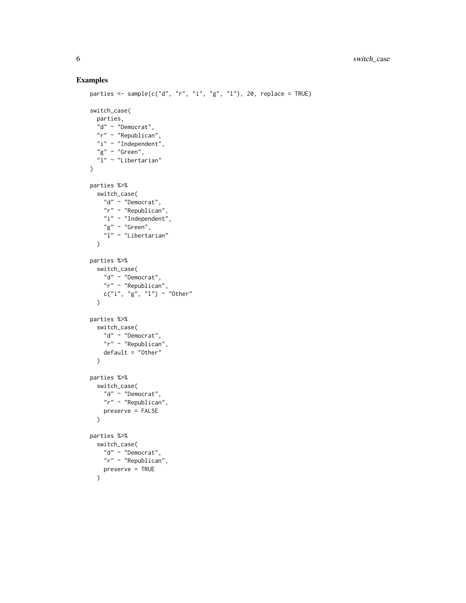#### Examples

```
parties \leq sample(c("d", "r", "i", "g", "l"), 20, replace = TRUE)
switch_case(
 parties,
  "d" ~ "Democrat",
 "r" ~ "Republican",
 "i" "The dependent","g" \sim "Green","1" ~ "Libertarian"
\lambdaparties %>%
 switch_case(
   "d" ~ "Democrat",
   "r" ~ "Republican",
   "i" ~ "Independent",
   "g" \sim "Green","1" "Libertarian"\lambdaparties %>%
  switch_case(
   "d" ~ "Democrat",
    "r" ~ "Republican",
   c("i", "g", "l") \sim "Other"\lambdaparties %>%
  switch_case(
   "d" ~ "Democrat",
   "r" ~ "Republican",
   default = "Other"
 \lambdaparties %>%
  switch_case(
    "d" ~ "Democrat",
    "r" ~ "Republican",
    preserve = FALSE
  \mathcal{L}parties %>%
  switch_case(
    "d" \sim "Democrat","r" ~ "Republican",
    preserve = TRUE
  \lambda
```